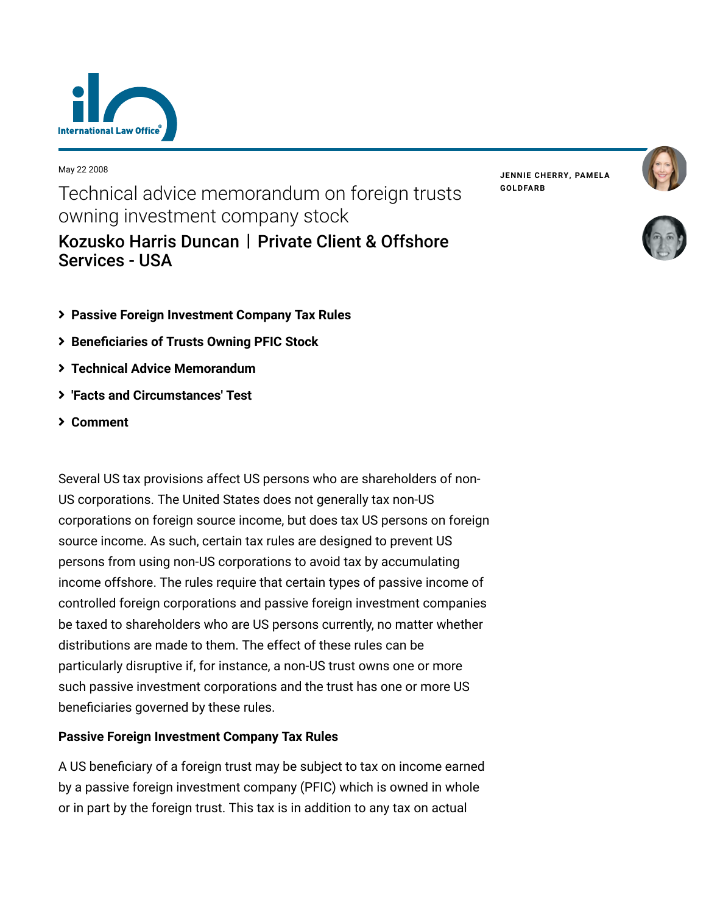

May 22 2008

Technical advice memorandum on foreign trusts owning investment company stock [Kozusko Harris Duncan](https://www.lexology.com/contributors/23364) | Private Client & Offshore Services - USA

**JENNIE [CHERRY,](https://www.lexology.com/23364/author/Jennie_Cherry/) PAMELA [GOLDFARB](https://www.lexology.com/23364/author/Pamela_Goldfarb/)**





- **[Passive Foreign Investment Company Tax Rules](#page-0-0)**
- **[Beneficiaries of Trusts Owning PFIC Stock](#page-1-0)**
- **[Technical Advice Memorandum](#page-1-1)**
- **['Facts and Circumstances' Test](#page-2-0)**
- **[Comment](#page-3-0)**

Several US tax provisions affect US persons who are shareholders of non-US corporations. The United States does not generally tax non-US corporations on foreign source income, but does tax US persons on foreign source income. As such, certain tax rules are designed to prevent US persons from using non-US corporations to avoid tax by accumulating income offshore. The rules require that certain types of passive income of controlled foreign corporations and passive foreign investment companies be taxed to shareholders who are US persons currently, no matter whether distributions are made to them. The effect of these rules can be particularly disruptive if, for instance, a non-US trust owns one or more such passive investment corporations and the trust has one or more US beneficiaries governed by these rules.

## <span id="page-0-0"></span>**Passive Foreign Investment Company Tax Rules**

A US beneficiary of a foreign trust may be subject to tax on income earned by a passive foreign investment company (PFIC) which is owned in whole or in part by the foreign trust. This tax is in addition to any tax on actual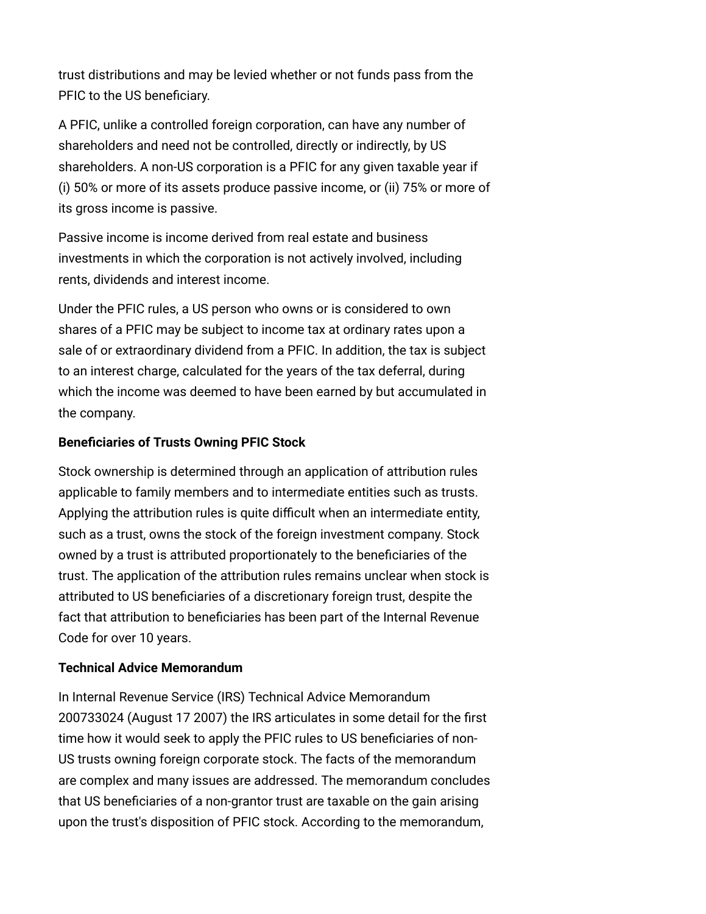trust distributions and may be levied whether or not funds pass from the PFIC to the US beneficiary.

A PFIC, unlike a controlled foreign corporation, can have any number of shareholders and need not be controlled, directly or indirectly, by US shareholders. A non-US corporation is a PFIC for any given taxable year if (i) 50% or more of its assets produce passive income, or (ii) 75% or more of its gross income is passive.

Passive income is income derived from real estate and business investments in which the corporation is not actively involved, including rents, dividends and interest income.

Under the PFIC rules, a US person who owns or is considered to own shares of a PFIC may be subject to income tax at ordinary rates upon a sale of or extraordinary dividend from a PFIC. In addition, the tax is subject to an interest charge, calculated for the years of the tax deferral, during which the income was deemed to have been earned by but accumulated in the company.

# <span id="page-1-0"></span>**Beneficiaries of Trusts Owning PFIC Stock**

Stock ownership is determined through an application of attribution rules applicable to family members and to intermediate entities such as trusts. Applying the attribution rules is quite difficult when an intermediate entity, such as a trust, owns the stock of the foreign investment company. Stock owned by a trust is attributed proportionately to the beneficiaries of the trust. The application of the attribution rules remains unclear when stock is attributed to US beneficiaries of a discretionary foreign trust, despite the fact that attribution to beneficiaries has been part of the Internal Revenue Code for over 10 years.

## <span id="page-1-1"></span>**Technical Advice Memorandum**

In Internal Revenue Service (IRS) Technical Advice Memorandum 200733024 (August 17 2007) the IRS articulates in some detail for the first time how it would seek to apply the PFIC rules to US beneficiaries of non-US trusts owning foreign corporate stock. The facts of the memorandum are complex and many issues are addressed. The memorandum concludes that US beneficiaries of a non-grantor trust are taxable on the gain arising upon the trust's disposition of PFIC stock. According to the memorandum,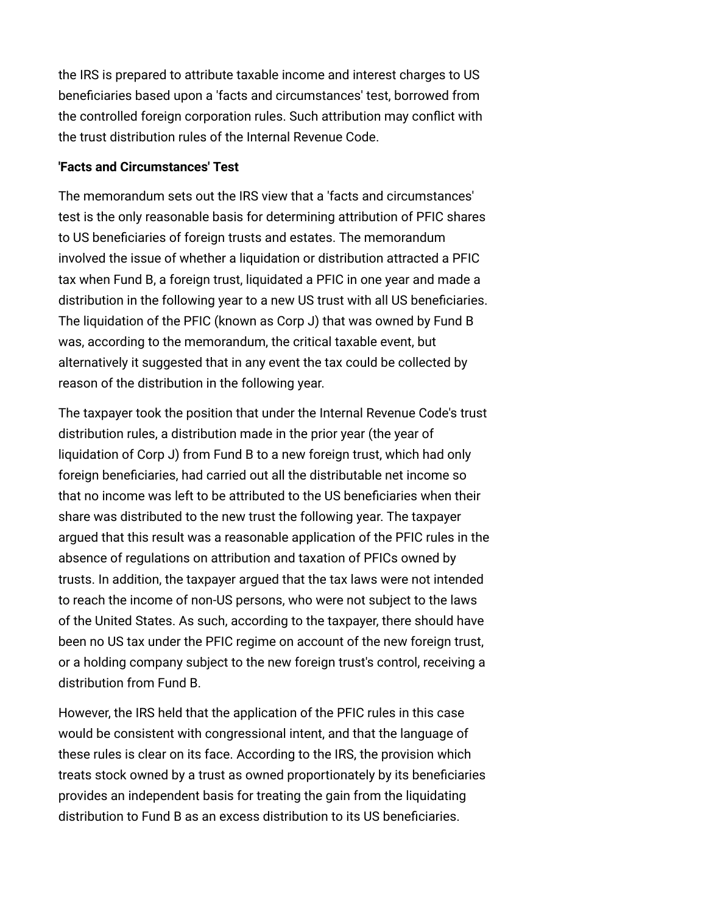the IRS is prepared to attribute taxable income and interest charges to US beneficiaries based upon a 'facts and circumstances' test, borrowed from the controlled foreign corporation rules. Such attribution may conflict with the trust distribution rules of the Internal Revenue Code.

#### <span id="page-2-0"></span>**'Facts and Circumstances' Test**

The memorandum sets out the IRS view that a 'facts and circumstances' test is the only reasonable basis for determining attribution of PFIC shares to US beneficiaries of foreign trusts and estates. The memorandum involved the issue of whether a liquidation or distribution attracted a PFIC tax when Fund B, a foreign trust, liquidated a PFIC in one year and made a distribution in the following year to a new US trust with all US beneficiaries. The liquidation of the PFIC (known as Corp J) that was owned by Fund B was, according to the memorandum, the critical taxable event, but alternatively it suggested that in any event the tax could be collected by reason of the distribution in the following year.

The taxpayer took the position that under the Internal Revenue Code's trust distribution rules, a distribution made in the prior year (the year of liquidation of Corp J) from Fund B to a new foreign trust, which had only foreign beneficiaries, had carried out all the distributable net income so that no income was left to be attributed to the US beneficiaries when their share was distributed to the new trust the following year. The taxpayer argued that this result was a reasonable application of the PFIC rules in the absence of regulations on attribution and taxation of PFICs owned by trusts. In addition, the taxpayer argued that the tax laws were not intended to reach the income of non-US persons, who were not subject to the laws of the United States. As such, according to the taxpayer, there should have been no US tax under the PFIC regime on account of the new foreign trust, or a holding company subject to the new foreign trust's control, receiving a distribution from Fund B.

However, the IRS held that the application of the PFIC rules in this case would be consistent with congressional intent, and that the language of these rules is clear on its face. According to the IRS, the provision which treats stock owned by a trust as owned proportionately by its beneficiaries provides an independent basis for treating the gain from the liquidating distribution to Fund B as an excess distribution to its US beneficiaries.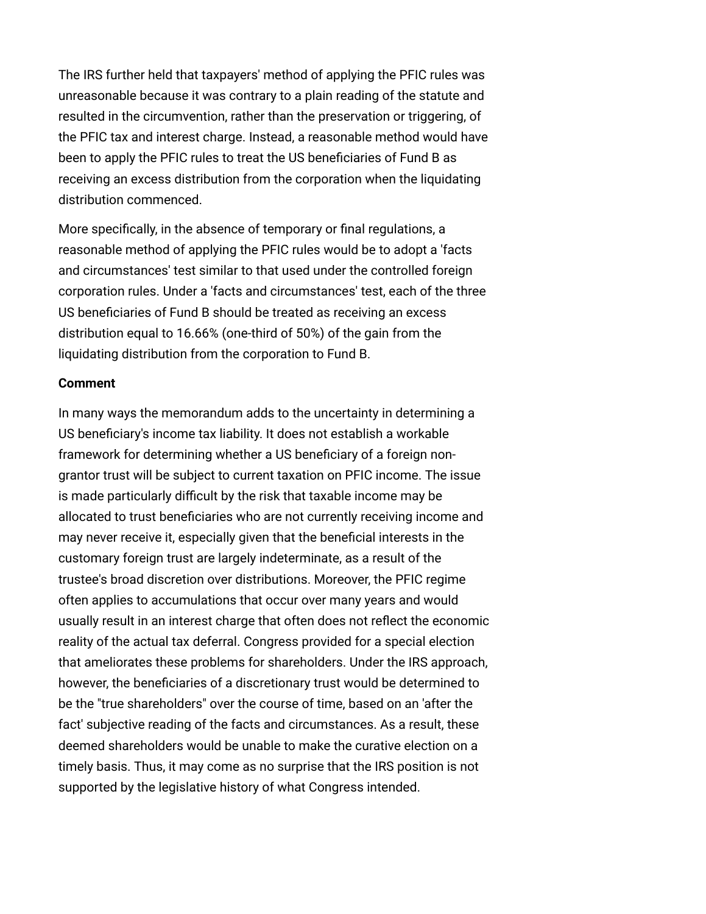The IRS further held that taxpayers' method of applying the PFIC rules was unreasonable because it was contrary to a plain reading of the statute and resulted in the circumvention, rather than the preservation or triggering, of the PFIC tax and interest charge. Instead, a reasonable method would have been to apply the PFIC rules to treat the US beneficiaries of Fund B as receiving an excess distribution from the corporation when the liquidating distribution commenced.

More specifically, in the absence of temporary or final regulations, a reasonable method of applying the PFIC rules would be to adopt a 'facts and circumstances' test similar to that used under the controlled foreign corporation rules. Under a 'facts and circumstances' test, each of the three US beneficiaries of Fund B should be treated as receiving an excess distribution equal to 16.66% (one-third of 50%) of the gain from the liquidating distribution from the corporation to Fund B.

#### <span id="page-3-0"></span>**Comment**

In many ways the memorandum adds to the uncertainty in determining a US beneficiary's income tax liability. It does not establish a workable framework for determining whether a US beneficiary of a foreign nongrantor trust will be subject to current taxation on PFIC income. The issue is made particularly difficult by the risk that taxable income may be allocated to trust beneficiaries who are not currently receiving income and may never receive it, especially given that the beneficial interests in the customary foreign trust are largely indeterminate, as a result of the trustee's broad discretion over distributions. Moreover, the PFIC regime often applies to accumulations that occur over many years and would usually result in an interest charge that often does not reflect the economic reality of the actual tax deferral. Congress provided for a special election that ameliorates these problems for shareholders. Under the IRS approach, however, the beneficiaries of a discretionary trust would be determined to be the "true shareholders" over the course of time, based on an 'after the fact' subjective reading of the facts and circumstances. As a result, these deemed shareholders would be unable to make the curative election on a timely basis. Thus, it may come as no surprise that the IRS position is not supported by the legislative history of what Congress intended.